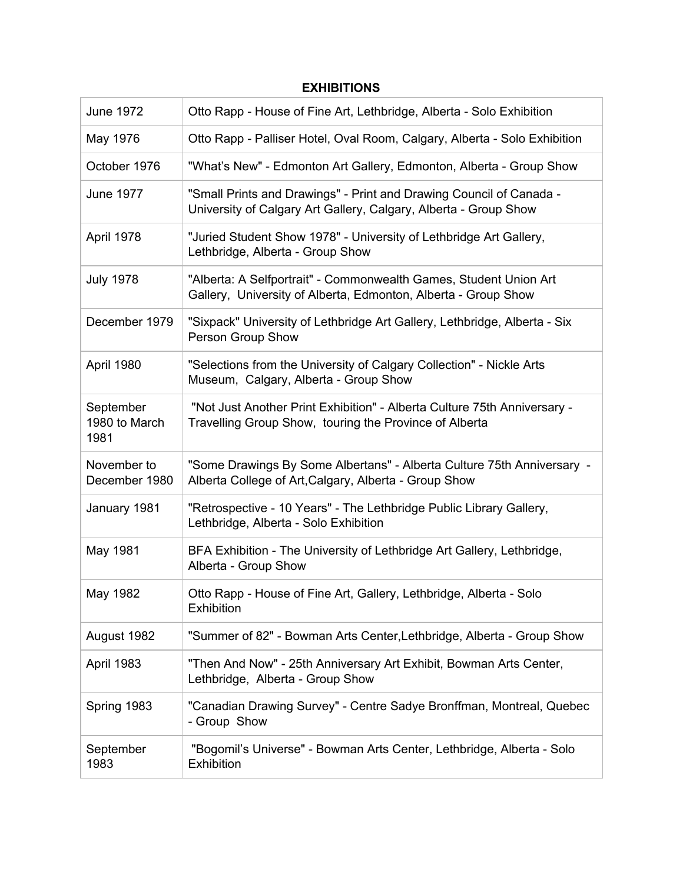## June 1972 Otto Rapp - House of Fine Art, Lethbridge, Alberta - Solo Exhibition May 1976 **Otto Rapp - Palliser Hotel, Oval Room, Calgary, Alberta - Solo Exhibition** October 1976 "What's New" - Edmonton Art Gallery, Edmonton, Alberta - Group Show June 1977 "Small Prints and Drawings" - Print and Drawing Council of Canada - University of Calgary Art Gallery, Calgary, Alberta - Group Show April 1978 "Juried Student Show 1978" - University of Lethbridge Art Gallery, Lethbridge, Alberta - Group Show July 1978 "Alberta: A Selfportrait" - Commonwealth Games, Student Union Art Gallery, University of Alberta, Edmonton, Alberta - Group Show December 1979 | "Sixpack" University of Lethbridge Art Gallery, Lethbridge, Alberta - Six Person Group Show April 1980 "Selections from the University of Calgary Collection" - Nickle Arts Museum, Calgary, Alberta - Group Show September 1980 to March 1981 "Not Just Another Print Exhibition" - Alberta Culture 75th Anniversary - Travelling Group Show, touring the Province of Alberta November to December 1980 "Some Drawings By Some Albertans" - Alberta Culture 75th Anniversary - Alberta College of Art,Calgary, Alberta - Group Show January 1981 "Retrospective - 10 Years" - The Lethbridge Public Library Gallery, Lethbridge, Alberta - Solo Exhibition May 1981 BFA Exhibition - The University of Lethbridge Art Gallery, Lethbridge, Alberta - Group Show May 1982 Otto Rapp - House of Fine Art, Gallery, Lethbridge, Alberta - Solo **Exhibition** August 1982 "Summer of 82" - Bowman Arts Center,Lethbridge, Alberta - Group Show April 1983 "Then And Now" - 25th Anniversary Art Exhibit, Bowman Arts Center, Lethbridge, Alberta - Group Show Spring 1983 "Canadian Drawing Survey" - Centre Sadye Bronffman, Montreal, Quebec - Group Show September 1983 "Bogomil's Universe" - Bowman Arts Center, Lethbridge, Alberta - Solo Exhibition

## **EXHIBITIONS**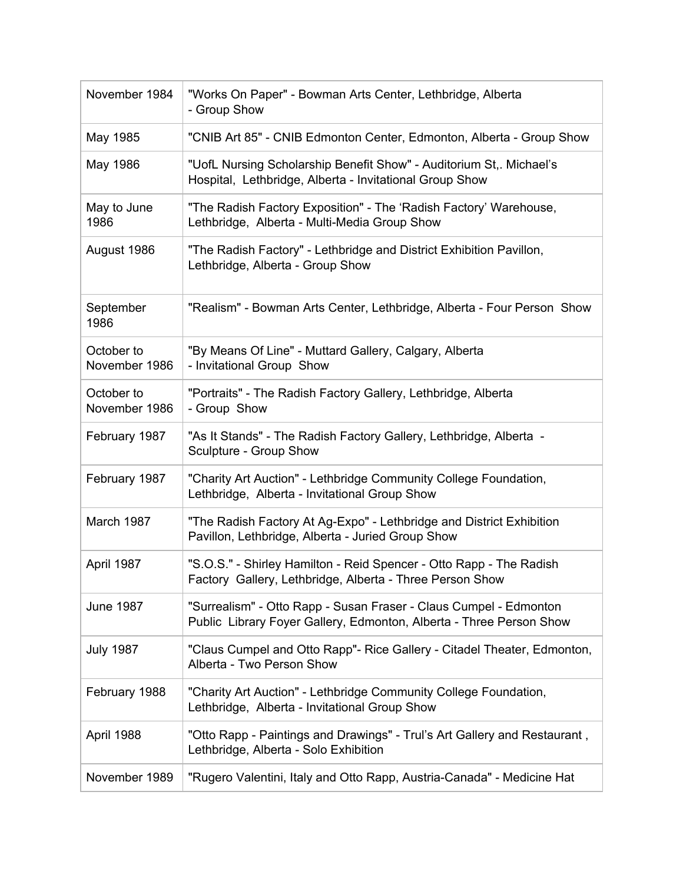| November 1984               | "Works On Paper" - Bowman Arts Center, Lethbridge, Alberta<br>- Group Show                                                               |
|-----------------------------|------------------------------------------------------------------------------------------------------------------------------------------|
| May 1985                    | "CNIB Art 85" - CNIB Edmonton Center, Edmonton, Alberta - Group Show                                                                     |
| May 1986                    | "UofL Nursing Scholarship Benefit Show" - Auditorium St,. Michael's<br>Hospital, Lethbridge, Alberta - Invitational Group Show           |
| May to June<br>1986         | "The Radish Factory Exposition" - The 'Radish Factory' Warehouse,<br>Lethbridge, Alberta - Multi-Media Group Show                        |
| August 1986                 | "The Radish Factory" - Lethbridge and District Exhibition Pavillon,<br>Lethbridge, Alberta - Group Show                                  |
| September<br>1986           | "Realism" - Bowman Arts Center, Lethbridge, Alberta - Four Person Show                                                                   |
| October to<br>November 1986 | "By Means Of Line" - Muttard Gallery, Calgary, Alberta<br>- Invitational Group Show                                                      |
| October to<br>November 1986 | "Portraits" - The Radish Factory Gallery, Lethbridge, Alberta<br>- Group Show                                                            |
| February 1987               | "As It Stands" - The Radish Factory Gallery, Lethbridge, Alberta -<br>Sculpture - Group Show                                             |
| February 1987               | "Charity Art Auction" - Lethbridge Community College Foundation,<br>Lethbridge, Alberta - Invitational Group Show                        |
| March 1987                  | "The Radish Factory At Ag-Expo" - Lethbridge and District Exhibition<br>Pavillon, Lethbridge, Alberta - Juried Group Show                |
| April 1987                  | "S.O.S." - Shirley Hamilton - Reid Spencer - Otto Rapp - The Radish<br>Factory Gallery, Lethbridge, Alberta - Three Person Show          |
| <b>June 1987</b>            | "Surrealism" - Otto Rapp - Susan Fraser - Claus Cumpel - Edmonton<br>Public Library Foyer Gallery, Edmonton, Alberta - Three Person Show |
| <b>July 1987</b>            | "Claus Cumpel and Otto Rapp"- Rice Gallery - Citadel Theater, Edmonton,<br>Alberta - Two Person Show                                     |
| February 1988               | "Charity Art Auction" - Lethbridge Community College Foundation,<br>Lethbridge, Alberta - Invitational Group Show                        |
| April 1988                  | "Otto Rapp - Paintings and Drawings" - Trui's Art Gallery and Restaurant,<br>Lethbridge, Alberta - Solo Exhibition                       |
| November 1989               | "Rugero Valentini, Italy and Otto Rapp, Austria-Canada" - Medicine Hat                                                                   |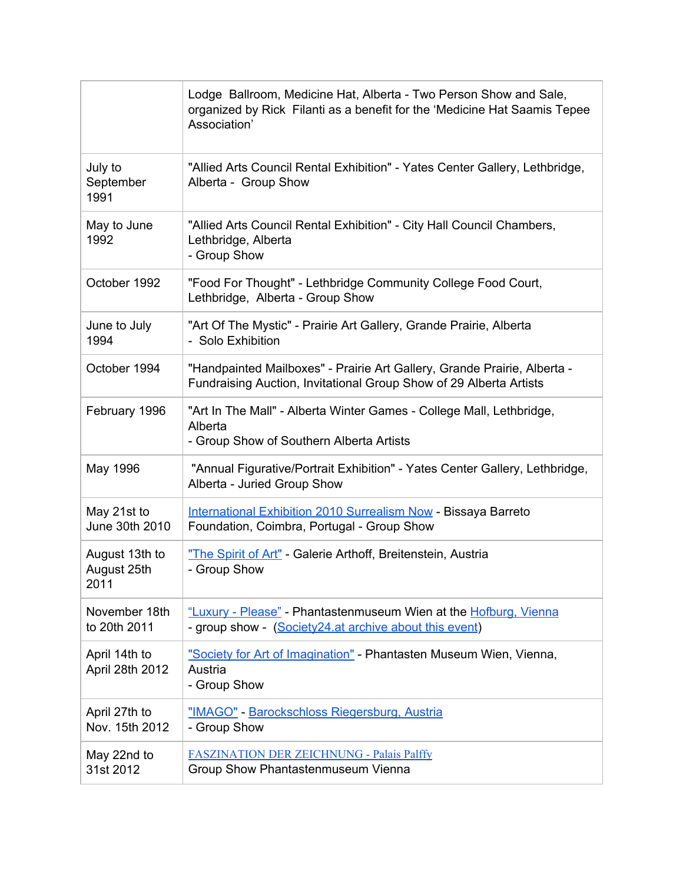|                                       | Lodge Ballroom, Medicine Hat, Alberta - Two Person Show and Sale,<br>organized by Rick Filanti as a benefit for the 'Medicine Hat Saamis Tepee<br>Association' |
|---------------------------------------|----------------------------------------------------------------------------------------------------------------------------------------------------------------|
| July to<br>September<br>1991          | "Allied Arts Council Rental Exhibition" - Yates Center Gallery, Lethbridge,<br>Alberta - Group Show                                                            |
| May to June<br>1992                   | "Allied Arts Council Rental Exhibition" - City Hall Council Chambers,<br>Lethbridge, Alberta<br>- Group Show                                                   |
| October 1992                          | "Food For Thought" - Lethbridge Community College Food Court,<br>Lethbridge, Alberta - Group Show                                                              |
| June to July<br>1994                  | "Art Of The Mystic" - Prairie Art Gallery, Grande Prairie, Alberta<br>- Solo Exhibition                                                                        |
| October 1994                          | "Handpainted Mailboxes" - Prairie Art Gallery, Grande Prairie, Alberta -<br>Fundraising Auction, Invitational Group Show of 29 Alberta Artists                 |
| February 1996                         | "Art In The Mall" - Alberta Winter Games - College Mall, Lethbridge,<br>Alberta<br>- Group Show of Southern Alberta Artists                                    |
| May 1996                              | "Annual Figurative/Portrait Exhibition" - Yates Center Gallery, Lethbridge,<br>Alberta - Juried Group Show                                                     |
| May 21st to<br>June 30th 2010         | <b>International Exhibition 2010 Surrealism Now - Bissaya Barreto</b><br>Foundation, Coimbra, Portugal - Group Show                                            |
| August 13th to<br>August 25th<br>2011 | "The Spirit of Art" - Galerie Arthoff, Breitenstein, Austria<br>- Group Show                                                                                   |
| November 18th<br>to 20th 2011         | "Luxury - Please" - Phantastenmuseum Wien at the Hofburg, Vienna<br>- group show - (Society24.at archive about this event)                                     |
| April 14th to<br>April 28th 2012      | "Society for Art of Imagination" - Phantasten Museum Wien, Vienna,<br>Austria<br>- Group Show                                                                  |
| April 27th to<br>Nov. 15th 2012       | "IMAGO" - Barockschloss Riegersburg, Austria<br>- Group Show                                                                                                   |
| May 22nd to<br>31st 2012              | <b>FASZINATION DER ZEICHNUNG - Palais Palffy</b><br>Group Show Phantastenmuseum Vienna                                                                         |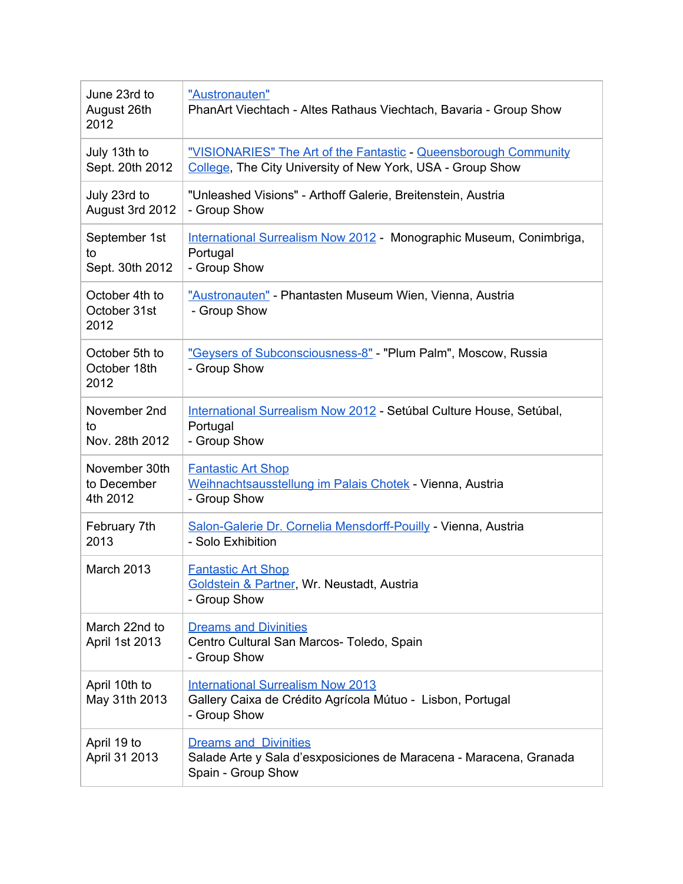| June 23rd to<br>August 26th<br>2012      | "Austronauten"<br>PhanArt Viechtach - Altes Rathaus Viechtach, Bavaria - Group Show                                            |
|------------------------------------------|--------------------------------------------------------------------------------------------------------------------------------|
| July 13th to<br>Sept. 20th 2012          | "VISIONARIES" The Art of the Fantastic - Queensborough Community<br>College, The City University of New York, USA - Group Show |
| July 23rd to<br>August 3rd 2012          | "Unleashed Visions" - Arthoff Galerie, Breitenstein, Austria<br>- Group Show                                                   |
| September 1st<br>to<br>Sept. 30th 2012   | International Surrealism Now 2012 - Monographic Museum, Conimbriga,<br>Portugal<br>- Group Show                                |
| October 4th to<br>October 31st<br>2012   | "Austronauten" - Phantasten Museum Wien, Vienna, Austria<br>- Group Show                                                       |
| October 5th to<br>October 18th<br>2012   | "Geysers of Subconsciousness-8" - "Plum Palm", Moscow, Russia<br>- Group Show                                                  |
| November 2nd<br>to<br>Nov. 28th 2012     | International Surrealism Now 2012 - Setúbal Culture House, Setúbal,<br>Portugal<br>- Group Show                                |
| November 30th<br>to December<br>4th 2012 | <b>Fantastic Art Shop</b><br>Weihnachtsausstellung im Palais Chotek - Vienna, Austria<br>- Group Show                          |
| February 7th<br>2013                     | Salon-Galerie Dr. Cornelia Mensdorff-Pouilly - Vienna, Austria<br>- Solo Exhibition                                            |
| March 2013                               | <b>Fantastic Art Shop</b><br>Goldstein & Partner, Wr. Neustadt, Austria<br>- Group Show                                        |
| March 22nd to<br>April 1st 2013          | <b>Dreams and Divinities</b><br>Centro Cultural San Marcos- Toledo, Spain<br>- Group Show                                      |
| April 10th to<br>May 31th 2013           | <b>International Surrealism Now 2013</b><br>Gallery Caixa de Crédito Agrícola Mútuo - Lisbon, Portugal<br>- Group Show         |
| April 19 to<br>April 31 2013             | <b>Dreams and Divinities</b><br>Salade Arte y Sala d'esxposiciones de Maracena - Maracena, Granada<br>Spain - Group Show       |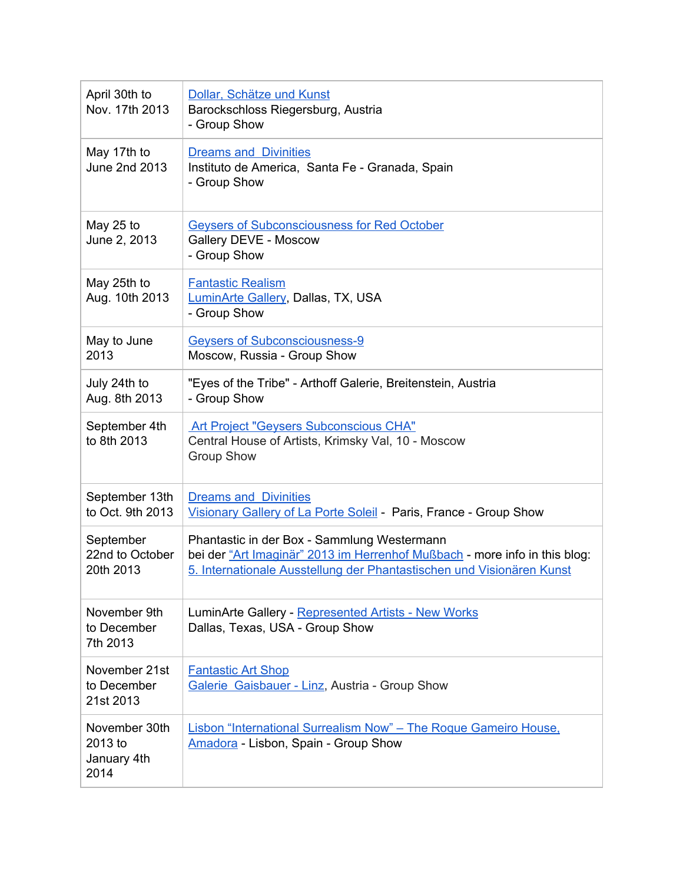| April 30th to<br>Nov. 17th 2013                 | Dollar, Schätze und Kunst<br>Barockschloss Riegersburg, Austria<br>- Group Show                                                                                                                    |
|-------------------------------------------------|----------------------------------------------------------------------------------------------------------------------------------------------------------------------------------------------------|
| May 17th to<br>June 2nd 2013                    | <b>Dreams and Divinities</b><br>Instituto de America, Santa Fe - Granada, Spain<br>- Group Show                                                                                                    |
| May 25 to<br>June 2, 2013                       | <b>Geysers of Subconsciousness for Red October</b><br>Gallery DEVE - Moscow<br>- Group Show                                                                                                        |
| May 25th to<br>Aug. 10th 2013                   | <b>Fantastic Realism</b><br>LuminArte Gallery, Dallas, TX, USA<br>- Group Show                                                                                                                     |
| May to June<br>2013                             | <b>Geysers of Subconsciousness-9</b><br>Moscow, Russia - Group Show                                                                                                                                |
| July 24th to<br>Aug. 8th 2013                   | "Eyes of the Tribe" - Arthoff Galerie, Breitenstein, Austria<br>- Group Show                                                                                                                       |
| September 4th<br>to 8th 2013                    | <b>Art Project "Geysers Subconscious CHA"</b><br>Central House of Artists, Krimsky Val, 10 - Moscow<br><b>Group Show</b>                                                                           |
| September 13th<br>to Oct. 9th 2013              | <b>Dreams and Divinities</b><br>Visionary Gallery of La Porte Soleil - Paris, France - Group Show                                                                                                  |
| September<br>22nd to October<br>20th 2013       | Phantastic in der Box - Sammlung Westermann<br>bei der "Art Imaginär" 2013 im Herrenhof Mußbach - more info in this blog:<br>5. Internationale Ausstellung der Phantastischen und Visionären Kunst |
| November 9th<br>to December<br>7th 2013         | LuminArte Gallery - Represented Artists - New Works<br>Dallas, Texas, USA - Group Show                                                                                                             |
| November 21st<br>to December<br>21st 2013       | <b>Fantastic Art Shop</b><br>Galerie Gaisbauer - Linz, Austria - Group Show                                                                                                                        |
| November 30th<br>2013 to<br>January 4th<br>2014 | Lisbon "International Surrealism Now" - The Roque Gameiro House.<br>Amadora - Lisbon, Spain - Group Show                                                                                           |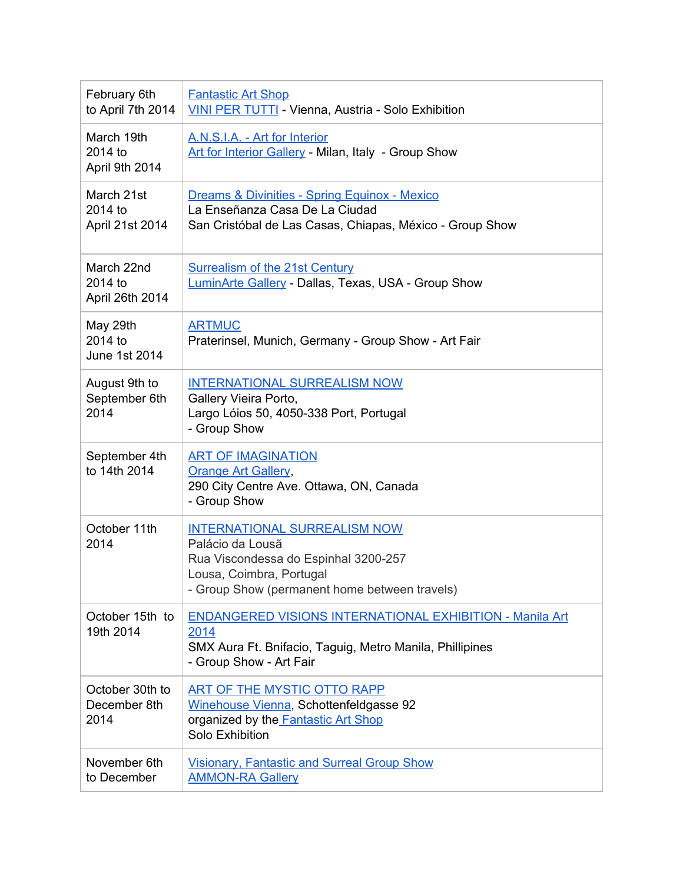| February 6th<br>to April 7th 2014        | <b>Fantastic Art Shop</b><br>VINI PER TUTTI - Vienna, Austria - Solo Exhibition                                                                                              |
|------------------------------------------|------------------------------------------------------------------------------------------------------------------------------------------------------------------------------|
| March 19th<br>2014 to<br>April 9th 2014  | A.N.S.I.A. - Art for Interior<br>Art for Interior Gallery - Milan, Italy - Group Show                                                                                        |
| March 21st<br>2014 to<br>April 21st 2014 | Dreams & Divinities - Spring Equinox - Mexico<br>La Enseñanza Casa De La Ciudad<br>San Cristóbal de Las Casas, Chiapas, México - Group Show                                  |
| March 22nd<br>2014 to<br>April 26th 2014 | <b>Surrealism of the 21st Century</b><br><b>LuminArte Gallery - Dallas, Texas, USA - Group Show</b>                                                                          |
| May 29th<br>2014 to<br>June 1st 2014     | <b>ARTMUC</b><br>Praterinsel, Munich, Germany - Group Show - Art Fair                                                                                                        |
| August 9th to<br>September 6th<br>2014   | <b>INTERNATIONAL SURREALISM NOW</b><br>Gallery Vieira Porto,<br>Largo Lóios 50, 4050-338 Port, Portugal<br>- Group Show                                                      |
| September 4th<br>to 14th 2014            | <b>ART OF IMAGINATION</b><br><b>Orange Art Gallery,</b><br>290 City Centre Ave. Ottawa, ON, Canada<br>- Group Show                                                           |
| October 11th<br>2014                     | <b>INTERNATIONAL SURREALISM NOW</b><br>Palácio da Lousã<br>Rua Viscondessa do Espinhal 3200-257<br>Lousa, Coimbra, Portugal<br>- Group Show (permanent home between travels) |
| October 15th to<br>19th 2014             | <b>ENDANGERED VISIONS INTERNATIONAL EXHIBITION - Manila Art</b><br>2014<br>SMX Aura Ft. Bnifacio, Taguig, Metro Manila, Phillipines<br>- Group Show - Art Fair               |
| October 30th to<br>December 8th<br>2014  | ART OF THE MYSTIC OTTO RAPP<br>Winehouse Vienna, Schottenfeldgasse 92<br>organized by the Fantastic Art Shop<br>Solo Exhibition                                              |
| November 6th<br>to December              | <b>Visionary, Fantastic and Surreal Group Show</b><br><b>AMMON-RA Gallery</b>                                                                                                |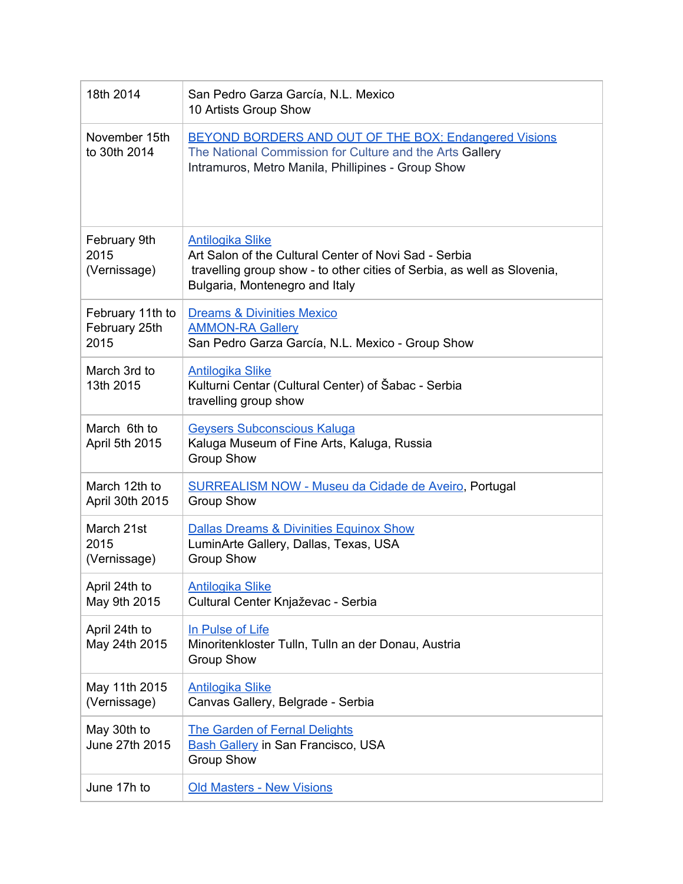| 18th 2014                                 | San Pedro Garza García, N.L. Mexico<br>10 Artists Group Show                                                                                                                                  |
|-------------------------------------------|-----------------------------------------------------------------------------------------------------------------------------------------------------------------------------------------------|
| November 15th<br>to 30th 2014             | BEYOND BORDERS AND OUT OF THE BOX: Endangered Visions<br>The National Commission for Culture and the Arts Gallery<br>Intramuros, Metro Manila, Phillipines - Group Show                       |
| February 9th<br>2015<br>(Vernissage)      | <b>Antilogika Slike</b><br>Art Salon of the Cultural Center of Novi Sad - Serbia<br>travelling group show - to other cities of Serbia, as well as Slovenia,<br>Bulgaria, Montenegro and Italy |
| February 11th to<br>February 25th<br>2015 | <b>Dreams &amp; Divinities Mexico</b><br><b>AMMON-RA Gallery</b><br>San Pedro Garza García, N.L. Mexico - Group Show                                                                          |
| March 3rd to<br>13th 2015                 | <b>Antilogika Slike</b><br>Kulturni Centar (Cultural Center) of Šabac - Serbia<br>travelling group show                                                                                       |
| March 6th to<br>April 5th 2015            | <b>Geysers Subconscious Kaluga</b><br>Kaluga Museum of Fine Arts, Kaluga, Russia<br><b>Group Show</b>                                                                                         |
| March 12th to<br>April 30th 2015          | <b>SURREALISM NOW - Museu da Cidade de Aveiro, Portugal</b><br><b>Group Show</b>                                                                                                              |
| March 21st<br>2015<br>(Vernissage)        | <b>Dallas Dreams &amp; Divinities Equinox Show</b><br>LuminArte Gallery, Dallas, Texas, USA<br><b>Group Show</b>                                                                              |
| April 24th to<br>May 9th 2015             | <b>Antilogika Slike</b><br>Cultural Center Knjaževac - Serbia                                                                                                                                 |
| April 24th to<br>May 24th 2015            | In Pulse of Life<br>Minoritenkloster Tulln, Tulln an der Donau, Austria<br><b>Group Show</b>                                                                                                  |
| May 11th 2015<br>(Vernissage)             | <b>Antilogika Slike</b><br>Canvas Gallery, Belgrade - Serbia                                                                                                                                  |
| May 30th to<br>June 27th 2015             | <b>The Garden of Fernal Delights</b><br><b>Bash Gallery in San Francisco, USA</b><br><b>Group Show</b>                                                                                        |
| June 17h to                               | <b>Old Masters - New Visions</b>                                                                                                                                                              |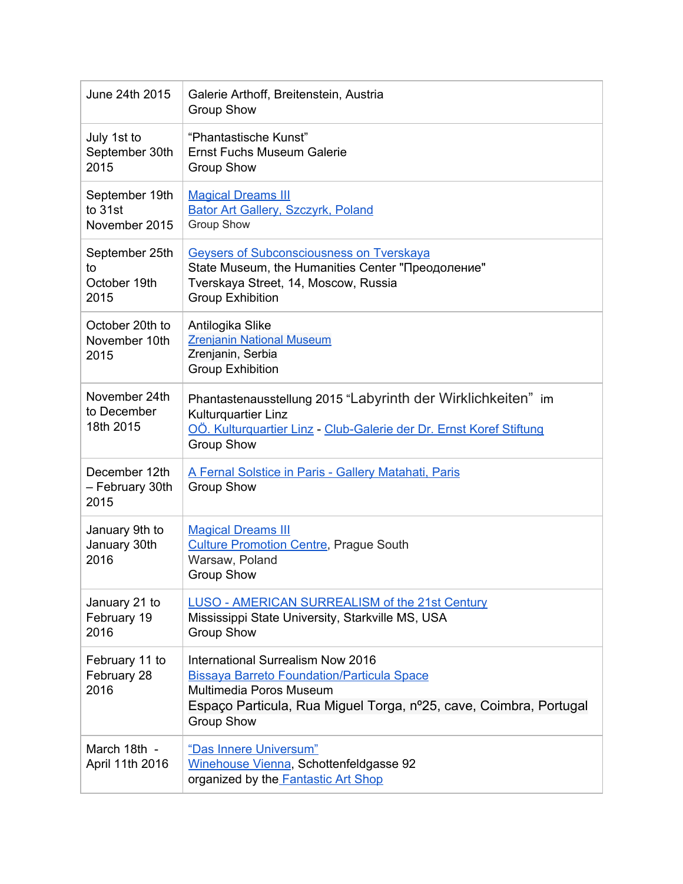| June 24th 2015                               | Galerie Arthoff, Breitenstein, Austria<br><b>Group Show</b>                                                                                                                                                 |
|----------------------------------------------|-------------------------------------------------------------------------------------------------------------------------------------------------------------------------------------------------------------|
| July 1st to<br>September 30th<br>2015        | "Phantastische Kunst"<br>Ernst Fuchs Museum Galerie<br><b>Group Show</b>                                                                                                                                    |
| September 19th<br>to 31st<br>November 2015   | <b>Magical Dreams III</b><br><b>Bator Art Gallery, Szczyrk, Poland</b><br><b>Group Show</b>                                                                                                                 |
| September 25th<br>to<br>October 19th<br>2015 | <b>Geysers of Subconsciousness on Tverskaya</b><br>State Museum, the Humanities Center "Преодоление"<br>Tverskaya Street, 14, Moscow, Russia<br><b>Group Exhibition</b>                                     |
| October 20th to<br>November 10th<br>2015     | Antilogika Slike<br><b>Zrenjanin National Museum</b><br>Zrenjanin, Serbia<br><b>Group Exhibition</b>                                                                                                        |
| November 24th<br>to December<br>18th 2015    | Phantastenausstellung 2015 "Labyrinth der Wirklichkeiten" im<br>Kulturquartier Linz<br>OÖ. Kulturquartier Linz - Club-Galerie der Dr. Ernst Koref Stiftung<br><b>Group Show</b>                             |
| December 12th<br>- February 30th<br>2015     | A Fernal Solstice in Paris - Gallery Matahati, Paris<br><b>Group Show</b>                                                                                                                                   |
| January 9th to<br>January 30th<br>2016       | <b>Magical Dreams III</b><br><b>Culture Promotion Centre, Prague South</b><br>Warsaw, Poland<br><b>Group Show</b>                                                                                           |
| January 21 to<br>February 19<br>2016         | <b>LUSO - AMERICAN SURREALISM of the 21st Century</b><br>Mississippi State University, Starkville MS, USA<br><b>Group Show</b>                                                                              |
| February 11 to<br>February 28<br>2016        | International Surrealism Now 2016<br><b>Bissaya Barreto Foundation/Particula Space</b><br>Multimedia Poros Museum<br>Espaço Particula, Rua Miguel Torga, nº25, cave, Coimbra, Portugal<br><b>Group Show</b> |
| March 18th -<br>April 11th 2016              | "Das Innere Universum"<br>Winehouse Vienna, Schottenfeldgasse 92<br>organized by the Fantastic Art Shop                                                                                                     |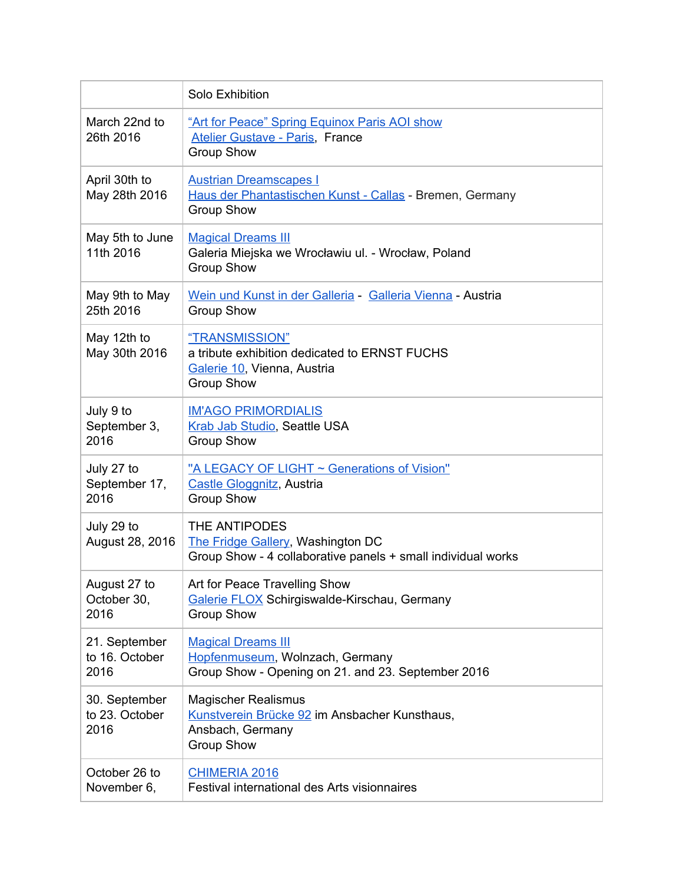|                                         | Solo Exhibition                                                                                                      |
|-----------------------------------------|----------------------------------------------------------------------------------------------------------------------|
| March 22nd to<br>26th 2016              | "Art for Peace" Spring Equinox Paris AOI show<br><b>Atelier Gustave - Paris, France</b><br><b>Group Show</b>         |
| April 30th to<br>May 28th 2016          | <b>Austrian Dreamscapes I</b><br>Haus der Phantastischen Kunst - Callas - Bremen, Germany<br><b>Group Show</b>       |
| May 5th to June<br>11th 2016            | <b>Magical Dreams III</b><br>Galeria Miejska we Wrocławiu ul. - Wrocław, Poland<br><b>Group Show</b>                 |
| May 9th to May<br>25th 2016             | Wein und Kunst in der Galleria - Galleria Vienna - Austria<br><b>Group Show</b>                                      |
| May 12th to<br>May 30th 2016            | "TRANSMISSION"<br>a tribute exhibition dedicated to ERNST FUCHS<br>Galerie 10, Vienna, Austria<br><b>Group Show</b>  |
| July 9 to<br>September 3,<br>2016       | <b>IM'AGO PRIMORDIALIS</b><br>Krab Jab Studio, Seattle USA<br><b>Group Show</b>                                      |
| July 27 to<br>September 17,<br>2016     | "A LEGACY OF LIGHT ~ Generations of Vision"<br><b>Castle Gloggnitz</b> , Austria<br><b>Group Show</b>                |
| July 29 to<br>August 28, 2016           | THE ANTIPODES<br>The Fridge Gallery, Washington DC<br>Group Show - 4 collaborative panels + small individual works   |
| August 27 to<br>October 30,<br>2016     | Art for Peace Travelling Show<br>Galerie FLOX Schirgiswalde-Kirschau, Germany<br><b>Group Show</b>                   |
| 21. September<br>to 16. October<br>2016 | <b>Magical Dreams III</b><br>Hopfenmuseum, Wolnzach, Germany<br>Group Show - Opening on 21. and 23. September 2016   |
| 30. September<br>to 23. October<br>2016 | <b>Magischer Realismus</b><br>Kunstverein Brücke 92 im Ansbacher Kunsthaus,<br>Ansbach, Germany<br><b>Group Show</b> |
| October 26 to<br>November 6,            | <b>CHIMERIA 2016</b><br>Festival international des Arts visionnaires                                                 |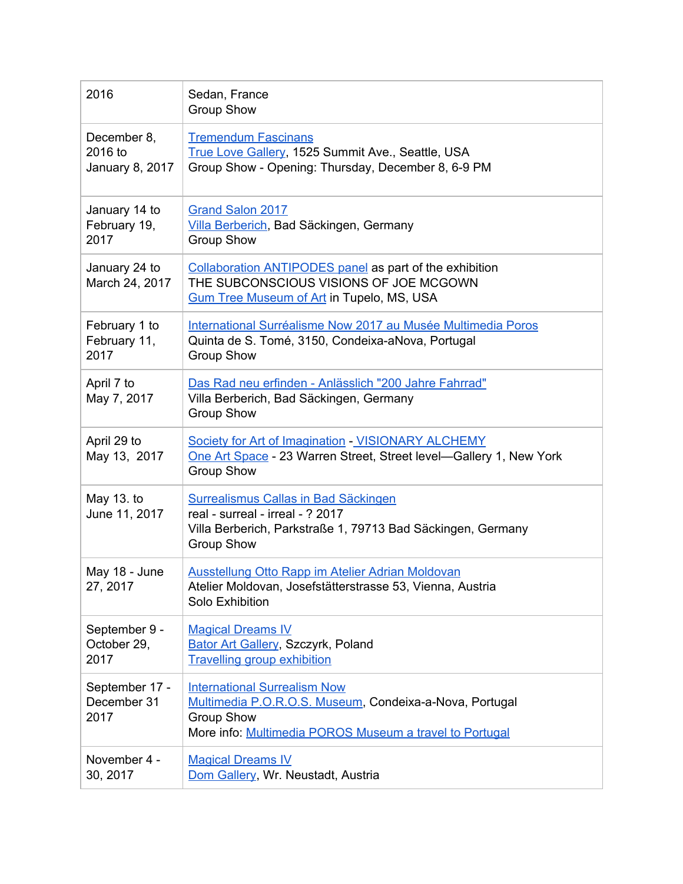| 2016                                      | Sedan, France<br><b>Group Show</b>                                                                                                                                             |
|-------------------------------------------|--------------------------------------------------------------------------------------------------------------------------------------------------------------------------------|
| December 8,<br>2016 to<br>January 8, 2017 | <b>Tremendum Fascinans</b><br>True Love Gallery, 1525 Summit Ave., Seattle, USA<br>Group Show - Opening: Thursday, December 8, 6-9 PM                                          |
| January 14 to<br>February 19,<br>2017     | <b>Grand Salon 2017</b><br>Villa Berberich, Bad Säckingen, Germany<br><b>Group Show</b>                                                                                        |
| January 24 to<br>March 24, 2017           | Collaboration ANTIPODES panel as part of the exhibition<br>THE SUBCONSCIOUS VISIONS OF JOE MCGOWN<br><b>Gum Tree Museum of Art in Tupelo, MS, USA</b>                          |
| February 1 to<br>February 11,<br>2017     | International Surréalisme Now 2017 au Musée Multimedia Poros<br>Quinta de S. Tomé, 3150, Condeixa-aNova, Portugal<br><b>Group Show</b>                                         |
| April 7 to<br>May 7, 2017                 | Das Rad neu erfinden - Anlässlich "200 Jahre Fahrrad"<br>Villa Berberich, Bad Säckingen, Germany<br><b>Group Show</b>                                                          |
| April 29 to<br>May 13, 2017               | Society for Art of Imagination - VISIONARY ALCHEMY<br>One Art Space - 23 Warren Street, Street level-Gallery 1, New York<br><b>Group Show</b>                                  |
| May 13. to<br>June 11, 2017               | Surrealismus Callas in Bad Säckingen<br>real - surreal - irreal - ? 2017<br>Villa Berberich, Parkstraße 1, 79713 Bad Säckingen, Germany<br><b>Group Show</b>                   |
| May 18 - June<br>27, 2017                 | Ausstellung Otto Rapp im Atelier Adrian Moldovan<br>Atelier Moldovan, Josefstätterstrasse 53, Vienna, Austria<br>Solo Exhibition                                               |
| September 9 -<br>October 29,<br>2017      | <b>Magical Dreams IV</b><br><b>Bator Art Gallery, Szczyrk, Poland</b><br><b>Travelling group exhibition</b>                                                                    |
| September 17 -<br>December 31<br>2017     | <b>International Surrealism Now</b><br>Multimedia P.O.R.O.S. Museum, Condeixa-a-Nova, Portugal<br><b>Group Show</b><br>More info: Multimedia POROS Museum a travel to Portugal |
| November 4 -<br>30, 2017                  | <b>Magical Dreams IV</b><br>Dom Gallery, Wr. Neustadt, Austria                                                                                                                 |